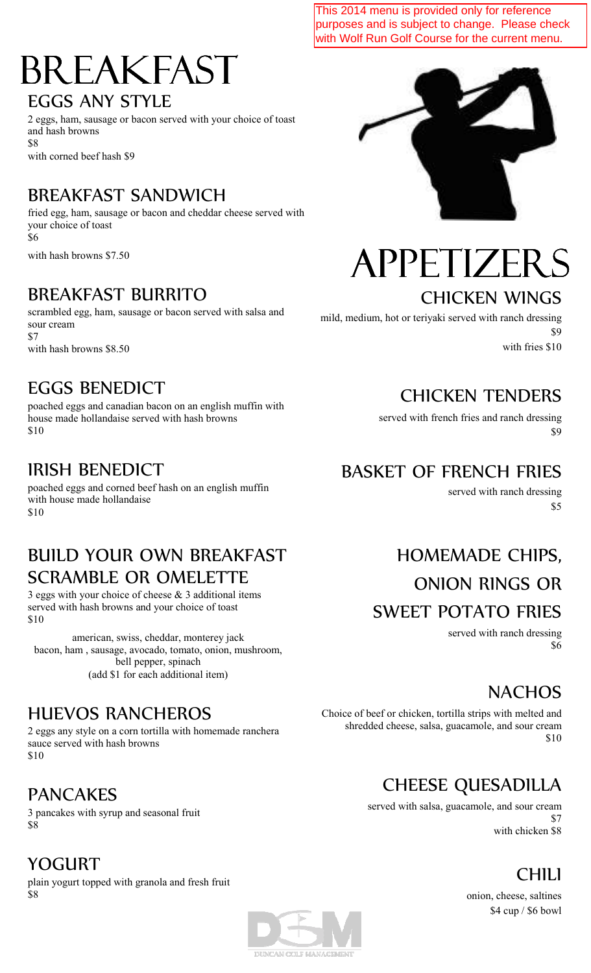This 2014 menu is provided only for reference purposes and is subject to change. Please check with Wolf Run Golf Course for the current menu.

### BREAKFAST EGGS ANY STYLE

2 eggs, ham, sausage or bacon served with your choice of toast and hash browns \$8 with corned beef hash \$9

#### BREAKFAST SANDWICH

fried egg, ham, sausage or bacon and cheddar cheese served with your choice of toast \$6

with hash browns \$7.50

#### BREAKFAST BURRITO

scrambled egg, ham, sausage or bacon served with salsa and sour cream \$7 with hash browns \$8.50

#### EGGS BENEDICT

poached eggs and canadian bacon on an english muffin with house made hollandaise served with hash browns \$10

#### IRISH BENEDICT

poached eggs and corned beef hash on an english muffin with house made hollandaise \$10

#### BUILD YOUR OWN BREAKFAST SCRAMBLE OR OMELETTE

3 eggs with your choice of cheese  $& 3$  additional items served with hash browns and your choice of toast \$10

american, swiss, cheddar, monterey jack bacon, ham , sausage, avocado, tomato, onion, mushroom, bell pepper, spinach (add \$1 for each additional item)

#### HUEVOS RANCHEROS

2 eggs any style on a corn tortilla with homemade ranchera sauce served with hash browns \$10

#### PANCAKES

YOGURT

3 pancakes with syrup and seasonal fruit \$8

plain yogurt topped with granola and fresh fruit \$8



# HOMEMADE CHIPS,

BASKET OF FRENCH FRIES

ONION RINGS OR

#### SWEET POTATO FRIES

served with ranch dressing \$6

served with ranch dressing

#### NACHOS

Choice of beef or chicken, tortilla strips with melted and shredded cheese, salsa, guacamole, and sour cream \$10

### CHEESE QUESADILLA

served with salsa, guacamole, and sour cream \$7 with chicken \$8

#### CHILI

onion, cheese, saltines \$4 cup / \$6 bowl



mild, medium, hot or teriyaki served with ranch dressing

CHICKEN WINGS

CHICKEN TENDERS

served with french fries and ranch dressing

\$9

\$9

\$5

with fries \$10

DUNCAN COLF MANAGEMENT